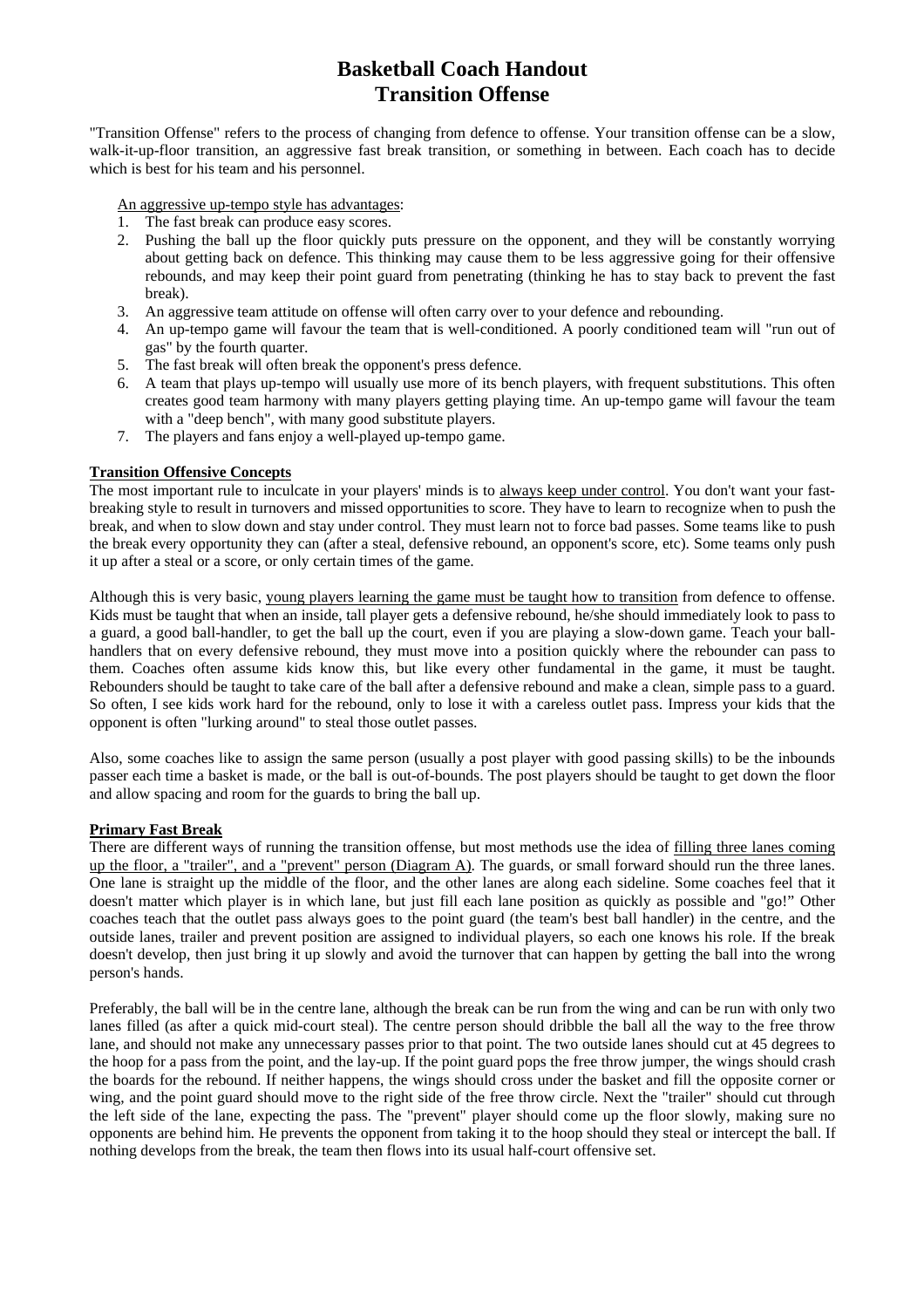# **Basketball Coach Handout Transition Offense**

"Transition Offense" refers to the process of changing from defence to offense. Your transition offense can be a slow, walk-it-up-floor transition, an aggressive fast break transition, or something in between. Each coach has to decide which is best for his team and his personnel.

An aggressive up-tempo style has advantages:

- 1. The fast break can produce easy scores.
- 2. Pushing the ball up the floor quickly puts pressure on the opponent, and they will be constantly worrying about getting back on defence. This thinking may cause them to be less aggressive going for their offensive rebounds, and may keep their point guard from penetrating (thinking he has to stay back to prevent the fast break).
- 3. An aggressive team attitude on offense will often carry over to your defence and rebounding.
- 4. An up-tempo game will favour the team that is well-conditioned. A poorly conditioned team will "run out of gas" by the fourth quarter.
- 5. The fast break will often break the opponent's press defence.
- 6. A team that plays up-tempo will usually use more of its bench players, with frequent substitutions. This often creates good team harmony with many players getting playing time. An up-tempo game will favour the team with a "deep bench", with many good substitute players.
- 7. The players and fans enjoy a well-played up-tempo game.

#### **Transition Offensive Concepts**

The most important rule to inculcate in your players' minds is to always keep under control. You don't want your fastbreaking style to result in turnovers and missed opportunities to score. They have to learn to recognize when to push the break, and when to slow down and stay under control. They must learn not to force bad passes. Some teams like to push the break every opportunity they can (after a steal, defensive rebound, an opponent's score, etc). Some teams only push it up after a steal or a score, or only certain times of the game.

Although this is very basic, young players learning the game must be taught how to transition from defence to offense. Kids must be taught that when an inside, tall player gets a defensive rebound, he/she should immediately look to pass to a guard, a good ball-handler, to get the ball up the court, even if you are playing a slow-down game. Teach your ballhandlers that on every defensive rebound, they must move into a position quickly where the rebounder can pass to them. Coaches often assume kids know this, but like every other fundamental in the game, it must be taught. Rebounders should be taught to take care of the ball after a defensive rebound and make a clean, simple pass to a guard. So often, I see kids work hard for the rebound, only to lose it with a careless outlet pass. Impress your kids that the opponent is often "lurking around" to steal those outlet passes.

Also, some coaches like to assign the same person (usually a post player with good passing skills) to be the inbounds passer each time a basket is made, or the ball is out-of-bounds. The post players should be taught to get down the floor and allow spacing and room for the guards to bring the ball up.

#### **Primary Fast Break**

There are different ways of running the transition offense, but most methods use the idea of filling three lanes coming up the floor, a "trailer", and a "prevent" person (Diagram A). The guards, or small forward should run the three lanes. One lane is straight up the middle of the floor, and the other lanes are along each sideline. Some coaches feel that it doesn't matter which player is in which lane, but just fill each lane position as quickly as possible and "go!" Other coaches teach that the outlet pass always goes to the point guard (the team's best ball handler) in the centre, and the outside lanes, trailer and prevent position are assigned to individual players, so each one knows his role. If the break doesn't develop, then just bring it up slowly and avoid the turnover that can happen by getting the ball into the wrong person's hands.

Preferably, the ball will be in the centre lane, although the break can be run from the wing and can be run with only two lanes filled (as after a quick mid-court steal). The centre person should dribble the ball all the way to the free throw lane, and should not make any unnecessary passes prior to that point. The two outside lanes should cut at 45 degrees to the hoop for a pass from the point, and the lay-up. If the point guard pops the free throw jumper, the wings should crash the boards for the rebound. If neither happens, the wings should cross under the basket and fill the opposite corner or wing, and the point guard should move to the right side of the free throw circle. Next the "trailer" should cut through the left side of the lane, expecting the pass. The "prevent" player should come up the floor slowly, making sure no opponents are behind him. He prevents the opponent from taking it to the hoop should they steal or intercept the ball. If nothing develops from the break, the team then flows into its usual half-court offensive set.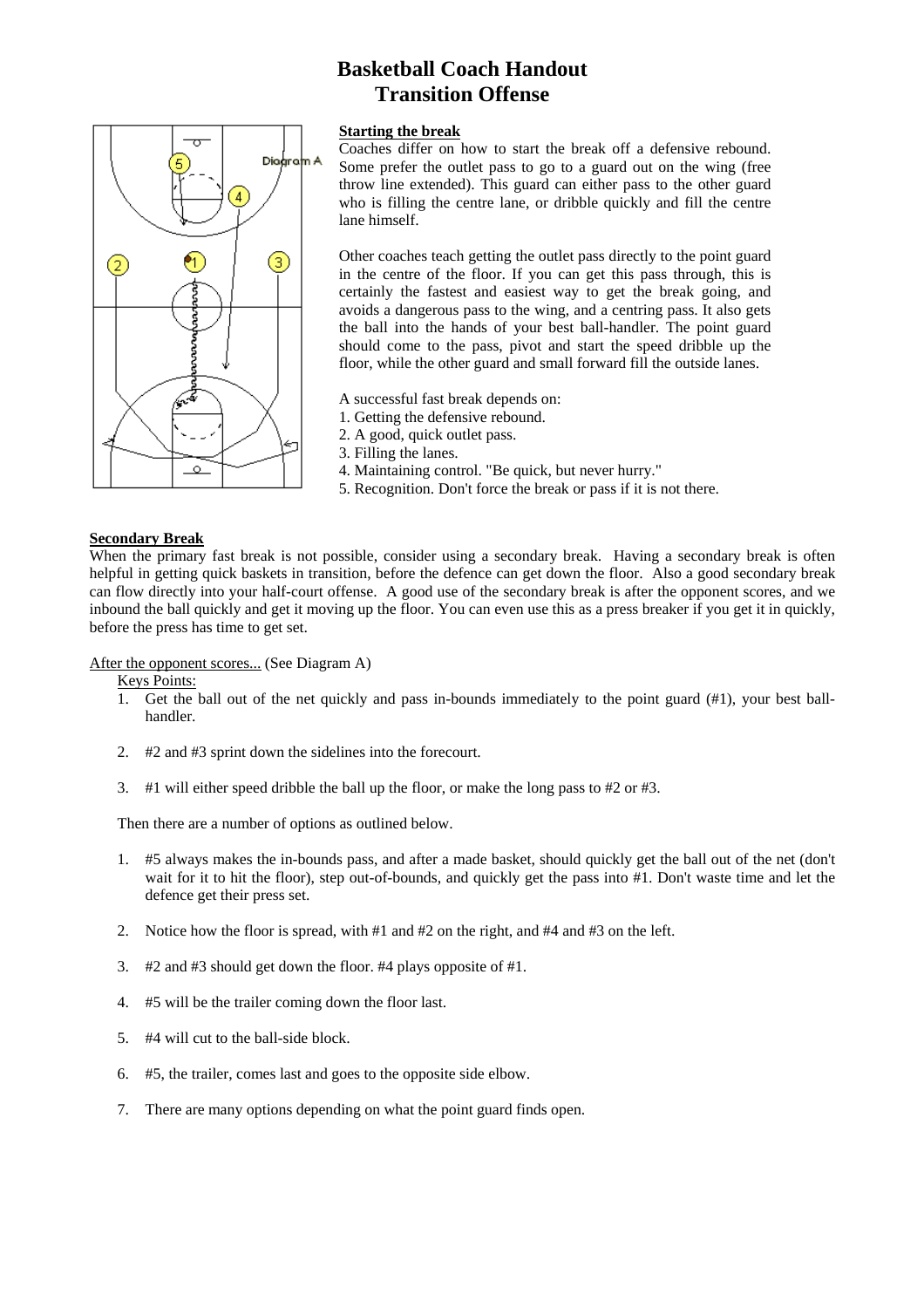# **Basketball Coach Handout Transition Offense**

# Dioar<sup>o</sup>  $\left( 1\right)$ 3) m  $\circ$

#### **Starting the break**

Coaches differ on how to start the break off a defensive rebound. Some prefer the outlet pass to go to a guard out on the wing (free throw line extended). This guard can either pass to the other guard who is filling the centre lane, or dribble quickly and fill the centre lane himself.

Other coaches teach getting the outlet pass directly to the point guard in the centre of the floor. If you can get this pass through, this is certainly the fastest and easiest way to get the break going, and avoids a dangerous pass to the wing, and a centring pass. It also gets the ball into the hands of your best ball-handler. The point guard should come to the pass, pivot and start the speed dribble up the floor, while the other guard and small forward fill the outside lanes.

A successful fast break depends on:

- 1. Getting the defensive rebound.
- 2. A good, quick outlet pass.
- 3. Filling the lanes.
- 4. Maintaining control. "Be quick, but never hurry."
- 5. Recognition. Don't force the break or pass if it is not there.

#### **Secondary Break**

When the primary fast break is not possible, consider using a secondary break. Having a secondary break is often helpful in getting quick baskets in transition, before the defence can get down the floor. Also a good secondary break can flow directly into your half-court offense. A good use of the secondary break is after the opponent scores, and we inbound the ball quickly and get it moving up the floor. You can even use this as a press breaker if you get it in quickly, before the press has time to get set.

After the opponent scores... (See Diagram A)

Keys Points:

- 1. Get the ball out of the net quickly and pass in-bounds immediately to the point guard (#1), your best ballhandler.
- 2. #2 and #3 sprint down the sidelines into the forecourt.
- 3. #1 will either speed dribble the ball up the floor, or make the long pass to #2 or #3.

Then there are a number of options as outlined below.

- 1. #5 always makes the in-bounds pass, and after a made basket, should quickly get the ball out of the net (don't wait for it to hit the floor), step out-of-bounds, and quickly get the pass into #1. Don't waste time and let the defence get their press set.
- 2. Notice how the floor is spread, with #1 and #2 on the right, and #4 and #3 on the left.
- 3. #2 and #3 should get down the floor. #4 plays opposite of #1.
- 4. #5 will be the trailer coming down the floor last.
- 5. #4 will cut to the ball-side block.
- 6. #5, the trailer, comes last and goes to the opposite side elbow.
- 7. There are many options depending on what the point guard finds open.